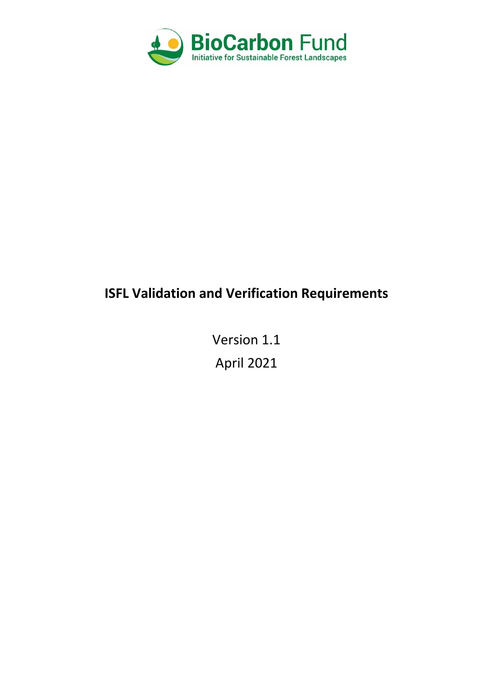

# **ISFL Validation and Verification Requirements**

Version 1.1 April 2021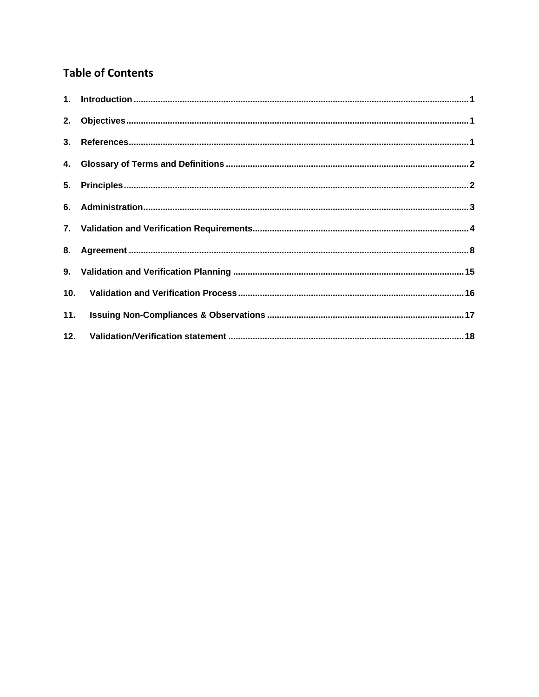# **Table of Contents**

| 11. |  |
|-----|--|
|     |  |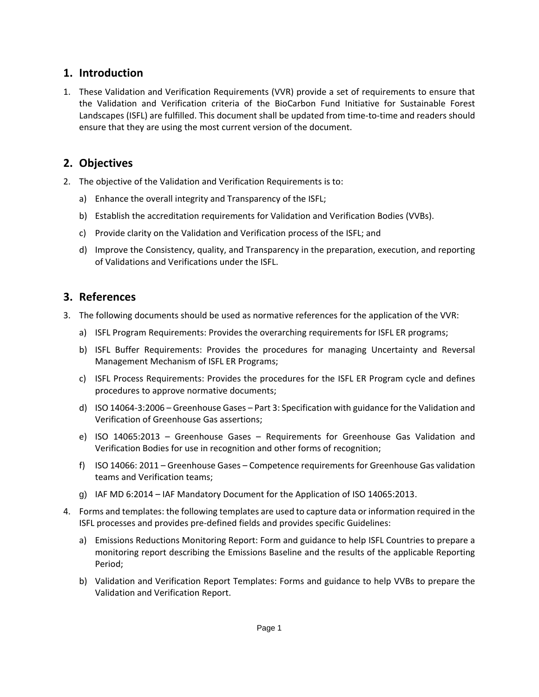# <span id="page-2-0"></span>**1. Introduction**

1. These Validation and Verification Requirements (VVR) provide a set of requirements to ensure that the Validation and Verification criteria of the BioCarbon Fund Initiative for Sustainable Forest Landscapes (ISFL) are fulfilled. This document shall be updated from time-to-time and readers should ensure that they are using the most current version of the document.

# <span id="page-2-1"></span>**2. Objectives**

- 2. The objective of the Validation and Verification Requirements is to:
	- a) Enhance the overall integrity and Transparency of the ISFL;
	- b) Establish the accreditation requirements for Validation and Verification Bodies (VVBs).
	- c) Provide clarity on the Validation and Verification process of the ISFL; and
	- d) Improve the Consistency, quality, and Transparency in the preparation, execution, and reporting of Validations and Verifications under the ISFL.

# <span id="page-2-2"></span>**3. References**

- 3. The following documents should be used as normative references for the application of the VVR:
	- a) ISFL Program Requirements: Provides the overarching requirements for ISFL ER programs;
	- b) ISFL Buffer Requirements: Provides the procedures for managing Uncertainty and Reversal Management Mechanism of ISFL ER Programs;
	- c) ISFL Process Requirements: Provides the procedures for the ISFL ER Program cycle and defines procedures to approve normative documents;
	- d) ISO 14064-3:2006 Greenhouse Gases Part 3: Specification with guidance for the Validation and Verification of Greenhouse Gas assertions;
	- e) ISO 14065:2013 Greenhouse Gases Requirements for Greenhouse Gas Validation and Verification Bodies for use in recognition and other forms of recognition;
	- f) ISO 14066: 2011 Greenhouse Gases Competence requirements for Greenhouse Gas validation teams and Verification teams;
	- g) IAF MD 6:2014 IAF Mandatory Document for the Application of ISO 14065:2013.
- 4. Forms and templates: the following templates are used to capture data or information required in the ISFL processes and provides pre-defined fields and provides specific Guidelines:
	- a) Emissions Reductions Monitoring Report: Form and guidance to help ISFL Countries to prepare a monitoring report describing the Emissions Baseline and the results of the applicable Reporting Period;
	- b) Validation and Verification Report Templates: Forms and guidance to help VVBs to prepare the Validation and Verification Report.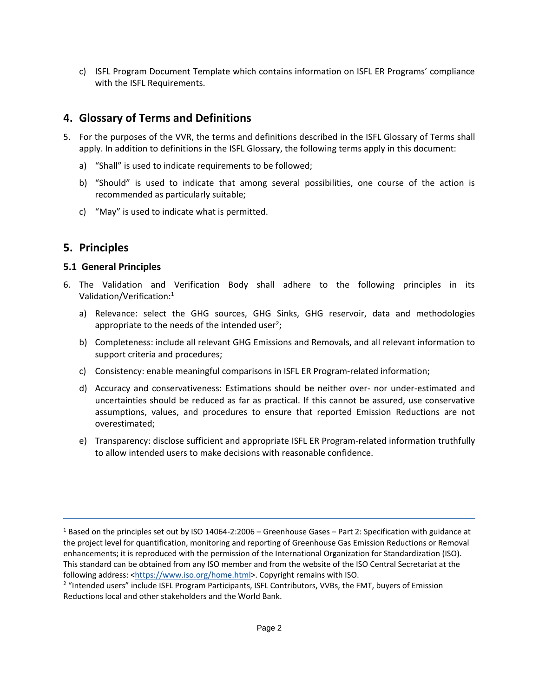c) ISFL Program Document Template which contains information on ISFL ER Programs' compliance with the ISFL Requirements.

# <span id="page-3-0"></span>**4. Glossary of Terms and Definitions**

- 5. For the purposes of the VVR, the terms and definitions described in the ISFL Glossary of Terms shall apply. In addition to definitions in the ISFL Glossary, the following terms apply in this document:
	- a) "Shall" is used to indicate requirements to be followed;
	- b) "Should" is used to indicate that among several possibilities, one course of the action is recommended as particularly suitable;
	- c) "May" is used to indicate what is permitted.

# <span id="page-3-1"></span>**5. Principles**

#### **5.1 General Principles**

- 6. The Validation and Verification Body shall adhere to the following principles in its Validation/Verification: 1
	- a) Relevance: select the GHG sources, GHG Sinks, GHG reservoir, data and methodologies appropriate to the needs of the intended user<sup>2</sup>;
	- b) Completeness: include all relevant GHG Emissions and Removals, and all relevant information to support criteria and procedures;
	- c) Consistency: enable meaningful comparisons in ISFL ER Program-related information;
	- d) Accuracy and conservativeness: Estimations should be neither over- nor under-estimated and uncertainties should be reduced as far as practical. If this cannot be assured, use conservative assumptions, values, and procedures to ensure that reported Emission Reductions are not overestimated;
	- e) Transparency: disclose sufficient and appropriate ISFL ER Program-related information truthfully to allow intended users to make decisions with reasonable confidence.

<sup>1</sup> Based on the principles set out by ISO 14064-2:2006 – Greenhouse Gases – Part 2: Specification with guidance at the project level for quantification, monitoring and reporting of Greenhouse Gas Emission Reductions or Removal enhancements; it is reproduced with the permission of the International Organization for Standardization (ISO). This standard can be obtained from any ISO member and from the website of the ISO Central Secretariat at the following address: [<https://www.iso.org/home.html>](https://www.iso.org/home.html). Copyright remains with ISO.

<sup>&</sup>lt;sup>2</sup> "Intended users" include ISFL Program Participants, ISFL Contributors, VVBs, the FMT, buyers of Emission Reductions local and other stakeholders and the World Bank.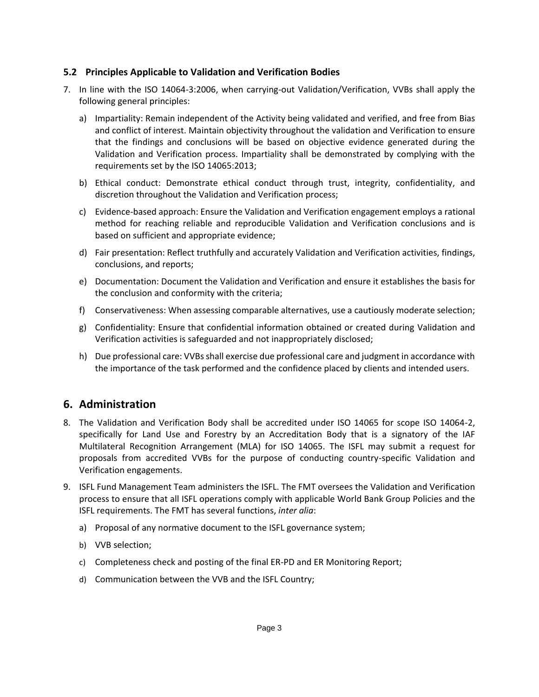#### **5.2 Principles Applicable to Validation and Verification Bodies**

- 7. In line with the ISO 14064-3:2006, when carrying-out Validation/Verification, VVBs shall apply the following general principles:
	- a) Impartiality: Remain independent of the Activity being validated and verified, and free from Bias and conflict of interest. Maintain objectivity throughout the validation and Verification to ensure that the findings and conclusions will be based on objective evidence generated during the Validation and Verification process. Impartiality shall be demonstrated by complying with the requirements set by the ISO 14065:2013;
	- b) Ethical conduct: Demonstrate ethical conduct through trust, integrity, confidentiality, and discretion throughout the Validation and Verification process;
	- c) Evidence-based approach: Ensure the Validation and Verification engagement employs a rational method for reaching reliable and reproducible Validation and Verification conclusions and is based on sufficient and appropriate evidence;
	- d) Fair presentation: Reflect truthfully and accurately Validation and Verification activities, findings, conclusions, and reports;
	- e) Documentation: Document the Validation and Verification and ensure it establishes the basis for the conclusion and conformity with the criteria;
	- f) Conservativeness: When assessing comparable alternatives, use a cautiously moderate selection;
	- g) Confidentiality: Ensure that confidential information obtained or created during Validation and Verification activities is safeguarded and not inappropriately disclosed;
	- h) Due professional care: VVBs shall exercise due professional care and judgment in accordance with the importance of the task performed and the confidence placed by clients and intended users.

# <span id="page-4-0"></span>**6. Administration**

- 8. The Validation and Verification Body shall be accredited under ISO 14065 for scope ISO 14064-2, specifically for Land Use and Forestry by an Accreditation Body that is a signatory of the IAF Multilateral Recognition Arrangement (MLA) for ISO 14065. The ISFL may submit a request for proposals from accredited VVBs for the purpose of conducting country-specific Validation and Verification engagements.
- 9. ISFL Fund Management Team administers the ISFL. The FMT oversees the Validation and Verification process to ensure that all ISFL operations comply with applicable World Bank Group Policies and the ISFL requirements. The FMT has several functions, *inter alia*:
	- a) Proposal of any normative document to the ISFL governance system;
	- b) VVB selection;
	- c) Completeness check and posting of the final ER-PD and ER Monitoring Report;
	- d) Communication between the VVB and the ISFL Country;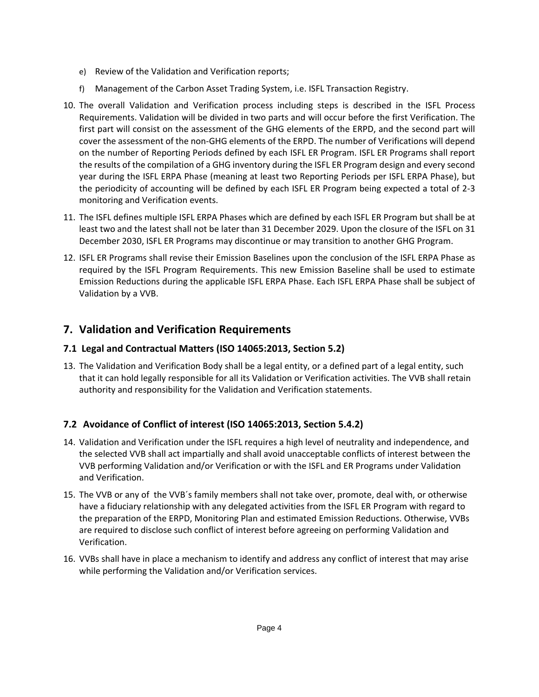- e) Review of the Validation and Verification reports;
- f) Management of the Carbon Asset Trading System, i.e. ISFL Transaction Registry.
- 10. The overall Validation and Verification process including steps is described in the ISFL Process Requirements. Validation will be divided in two parts and will occur before the first Verification. The first part will consist on the assessment of the GHG elements of the ERPD, and the second part will cover the assessment of the non-GHG elements of the ERPD. The number of Verifications will depend on the number of Reporting Periods defined by each ISFL ER Program. ISFL ER Programs shall report the results of the compilation of a GHG inventory during the ISFL ER Program design and every second year during the ISFL ERPA Phase (meaning at least two Reporting Periods per ISFL ERPA Phase), but the periodicity of accounting will be defined by each ISFL ER Program being expected a total of 2-3 monitoring and Verification events.
- 11. The ISFL defines multiple ISFL ERPA Phases which are defined by each ISFL ER Program but shall be at least two and the latest shall not be later than 31 December 2029. Upon the closure of the ISFL on 31 December 2030, ISFL ER Programs may discontinue or may transition to another GHG Program.
- 12. ISFL ER Programs shall revise their Emission Baselines upon the conclusion of the ISFL ERPA Phase as required by the ISFL Program Requirements. This new Emission Baseline shall be used to estimate Emission Reductions during the applicable ISFL ERPA Phase. Each ISFL ERPA Phase shall be subject of Validation by a VVB.

# <span id="page-5-0"></span>**7. Validation and Verification Requirements**

### **7.1 Legal and Contractual Matters (ISO 14065:2013, Section 5.2)**

13. The Validation and Verification Body shall be a legal entity, or a defined part of a legal entity, such that it can hold legally responsible for all its Validation or Verification activities. The VVB shall retain authority and responsibility for the Validation and Verification statements.

### **7.2 Avoidance of Conflict of interest (ISO 14065:2013, Section 5.4.2)**

- 14. Validation and Verification under the ISFL requires a high level of neutrality and independence, and the selected VVB shall act impartially and shall avoid unacceptable conflicts of interest between the VVB performing Validation and/or Verification or with the ISFL and ER Programs under Validation and Verification.
- 15. The VVB or any of the VVB´s family members shall not take over, promote, deal with, or otherwise have a fiduciary relationship with any delegated activities from the ISFL ER Program with regard to the preparation of the ERPD, Monitoring Plan and estimated Emission Reductions. Otherwise, VVBs are required to disclose such conflict of interest before agreeing on performing Validation and Verification.
- 16. VVBs shall have in place a mechanism to identify and address any conflict of interest that may arise while performing the Validation and/or Verification services.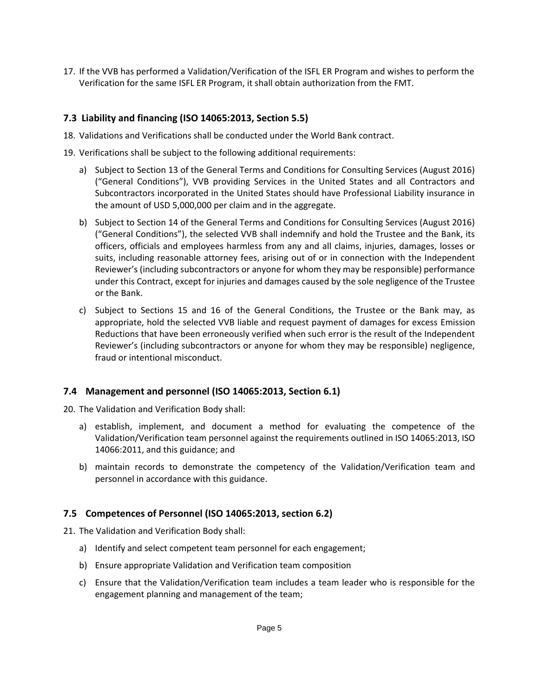17. If the VVB has performed a Validation/Verification of the ISFL ER Program and wishes to perform the Verification for the same ISFL ER Program, it shall obtain authorization from the FMT.

#### **7.3 Liability and financing (ISO 14065:2013, Section 5.5)**

- 18. Validations and Verifications shall be conducted under the World Bank contract.
- 19. Verifications shall be subject to the following additional requirements:
	- a) Subject to Section 13 of the General Terms and Conditions for Consulting Services (August 2016) ("General Conditions"), VVB providing Services in the United States and all Contractors and Subcontractors incorporated in the United States should have Professional Liability insurance in the amount of USD 5,000,000 per claim and in the aggregate.
	- b) Subject to Section 14 of the General Terms and Conditions for Consulting Services (August 2016) ("General Conditions"), the selected VVB shall indemnify and hold the Trustee and the Bank, its officers, officials and employees harmless from any and all claims, injuries, damages, losses or suits, including reasonable attorney fees, arising out of or in connection with the Independent Reviewer's (including subcontractors or anyone for whom they may be responsible) performance under this Contract, except for injuries and damages caused by the sole negligence of the Trustee or the Bank.
	- c) Subject to Sections 15 and 16 of the General Conditions, the Trustee or the Bank may, as appropriate, hold the selected VVB liable and request payment of damages for excess Emission Reductions that have been erroneously verified when such error is the result of the Independent Reviewer's (including subcontractors or anyone for whom they may be responsible) negligence, fraud or intentional misconduct.

#### **7.4 Management and personnel (ISO 14065:2013, Section 6.1)**

20. The Validation and Verification Body shall:

- a) establish, implement, and document a method for evaluating the competence of the Validation/Verification team personnel against the requirements outlined in ISO 14065:2013, ISO 14066:2011, and this guidance; and
- b) maintain records to demonstrate the competency of the Validation/Verification team and personnel in accordance with this guidance.

#### **7.5 Competences of Personnel (ISO 14065:2013, section 6.2)**

21. The Validation and Verification Body shall:

- a) Identify and select competent team personnel for each engagement;
- b) Ensure appropriate Validation and Verification team composition
- c) Ensure that the Validation/Verification team includes a team leader who is responsible for the engagement planning and management of the team;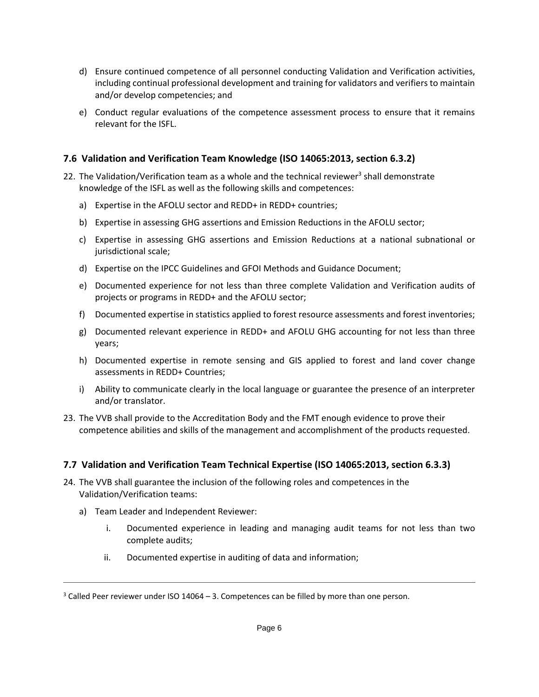- d) Ensure continued competence of all personnel conducting Validation and Verification activities, including continual professional development and training for validators and verifiers to maintain and/or develop competencies; and
- e) Conduct regular evaluations of the competence assessment process to ensure that it remains relevant for the ISFL.

#### **7.6 Validation and Verification Team Knowledge (ISO 14065:2013, section 6.3.2)**

- 22. The Validation/Verification team as a whole and the technical reviewer<sup>3</sup> shall demonstrate knowledge of the ISFL as well as the following skills and competences:
	- a) Expertise in the AFOLU sector and REDD+ in REDD+ countries;
	- b) Expertise in assessing GHG assertions and Emission Reductions in the AFOLU sector;
	- c) Expertise in assessing GHG assertions and Emission Reductions at a national subnational or jurisdictional scale;
	- d) Expertise on the IPCC Guidelines and GFOI Methods and Guidance Document;
	- e) Documented experience for not less than three complete Validation and Verification audits of projects or programs in REDD+ and the AFOLU sector;
	- f) Documented expertise in statistics applied to forest resource assessments and forest inventories;
	- g) Documented relevant experience in REDD+ and AFOLU GHG accounting for not less than three years;
	- h) Documented expertise in remote sensing and GIS applied to forest and land cover change assessments in REDD+ Countries;
	- i) Ability to communicate clearly in the local language or guarantee the presence of an interpreter and/or translator.
- 23. The VVB shall provide to the Accreditation Body and the FMT enough evidence to prove their competence abilities and skills of the management and accomplishment of the products requested.

#### **7.7 Validation and Verification Team Technical Expertise (ISO 14065:2013, section 6.3.3)**

- 24. The VVB shall guarantee the inclusion of the following roles and competences in the Validation/Verification teams:
	- a) Team Leader and Independent Reviewer:
		- i. Documented experience in leading and managing audit teams for not less than two complete audits;
		- ii. Documented expertise in auditing of data and information;

 $3$  Called Peer reviewer under ISO 14064 – 3. Competences can be filled by more than one person.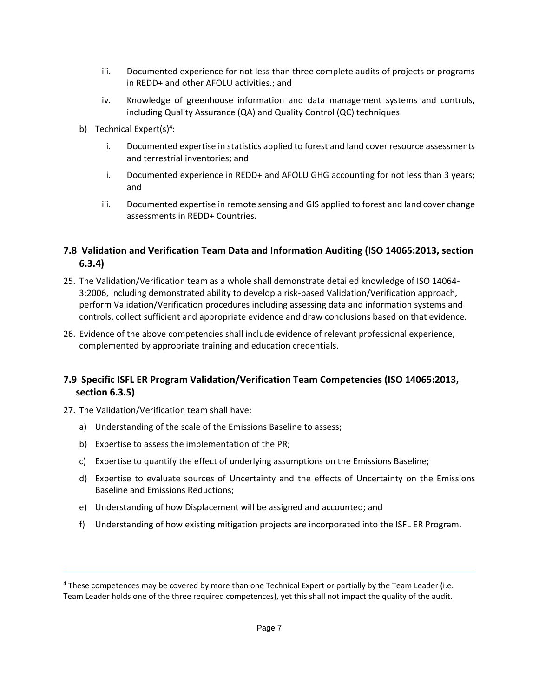- iii. Documented experience for not less than three complete audits of projects or programs in REDD+ and other AFOLU activities.; and
- iv. Knowledge of greenhouse information and data management systems and controls, including Quality Assurance (QA) and Quality Control (QC) techniques
- b) Technical Expert(s)<sup>4</sup>:
	- i. Documented expertise in statistics applied to forest and land cover resource assessments and terrestrial inventories; and
	- ii. Documented experience in REDD+ and AFOLU GHG accounting for not less than 3 years; and
	- iii. Documented expertise in remote sensing and GIS applied to forest and land cover change assessments in REDD+ Countries.

### **7.8 Validation and Verification Team Data and Information Auditing (ISO 14065:2013, section 6.3.4)**

- 25. The Validation/Verification team as a whole shall demonstrate detailed knowledge of ISO 14064- 3:2006, including demonstrated ability to develop a risk-based Validation/Verification approach, perform Validation/Verification procedures including assessing data and information systems and controls, collect sufficient and appropriate evidence and draw conclusions based on that evidence.
- 26. Evidence of the above competencies shall include evidence of relevant professional experience, complemented by appropriate training and education credentials.

### **7.9 Specific ISFL ER Program Validation/Verification Team Competencies (ISO 14065:2013, section 6.3.5)**

- 27. The Validation/Verification team shall have:
	- a) Understanding of the scale of the Emissions Baseline to assess;
	- b) Expertise to assess the implementation of the PR;
	- c) Expertise to quantify the effect of underlying assumptions on the Emissions Baseline;
	- d) Expertise to evaluate sources of Uncertainty and the effects of Uncertainty on the Emissions Baseline and Emissions Reductions;
	- e) Understanding of how Displacement will be assigned and accounted; and
	- f) Understanding of how existing mitigation projects are incorporated into the ISFL ER Program.

<sup>4</sup> These competences may be covered by more than one Technical Expert or partially by the Team Leader (i.e. Team Leader holds one of the three required competences), yet this shall not impact the quality of the audit.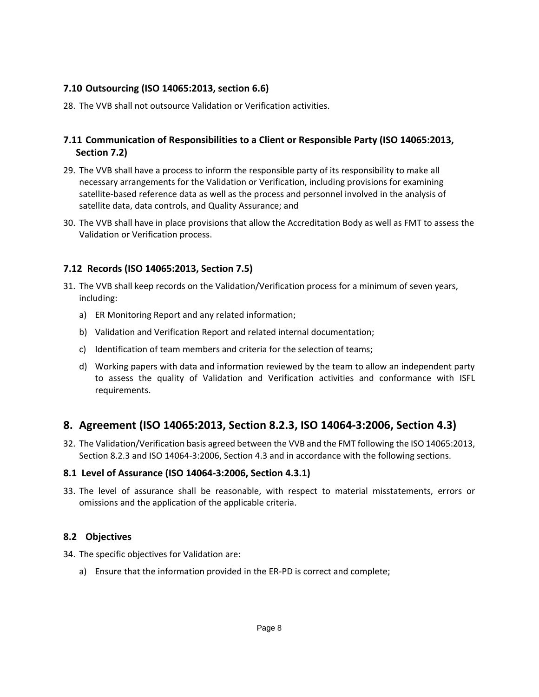#### **7.10 Outsourcing (ISO 14065:2013, section 6.6)**

28. The VVB shall not outsource Validation or Verification activities.

### **7.11 Communication of Responsibilities to a Client or Responsible Party (ISO 14065:2013, Section 7.2)**

- 29. The VVB shall have a process to inform the responsible party of its responsibility to make all necessary arrangements for the Validation or Verification, including provisions for examining satellite-based reference data as well as the process and personnel involved in the analysis of satellite data, data controls, and Quality Assurance; and
- 30. The VVB shall have in place provisions that allow the Accreditation Body as well as FMT to assess the Validation or Verification process.

### **7.12 Records (ISO 14065:2013, Section 7.5)**

- 31. The VVB shall keep records on the Validation/Verification process for a minimum of seven years, including:
	- a) ER Monitoring Report and any related information;
	- b) Validation and Verification Report and related internal documentation;
	- c) Identification of team members and criteria for the selection of teams;
	- d) Working papers with data and information reviewed by the team to allow an independent party to assess the quality of Validation and Verification activities and conformance with ISFL requirements.

# <span id="page-9-0"></span>**8. Agreement (ISO 14065:2013, Section 8.2.3, ISO 14064-3:2006, Section 4.3)**

32. The Validation/Verification basis agreed between the VVB and the FMT following the ISO 14065:2013, Section 8.2.3 and ISO 14064-3:2006, Section 4.3 and in accordance with the following sections.

#### **8.1 Level of Assurance (ISO 14064-3:2006, Section 4.3.1)**

33. The level of assurance shall be reasonable, with respect to material misstatements, errors or omissions and the application of the applicable criteria.

#### **8.2 Objectives**

- 34. The specific objectives for Validation are:
	- a) Ensure that the information provided in the ER-PD is correct and complete;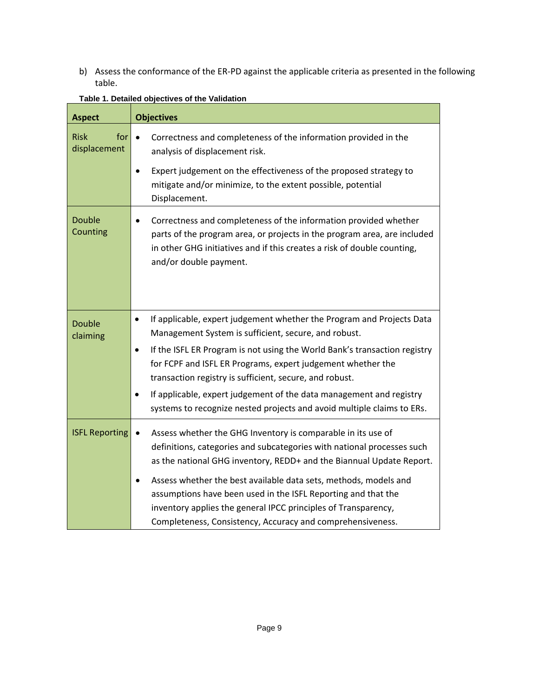b) Assess the conformance of the ER-PD against the applicable criteria as presented in the following table.

| <b>Aspect</b>                      | <b>Objectives</b>                                                                                                                                                                                                                                                              |
|------------------------------------|--------------------------------------------------------------------------------------------------------------------------------------------------------------------------------------------------------------------------------------------------------------------------------|
| <b>Risk</b><br>for<br>displacement | Correctness and completeness of the information provided in the<br>$\bullet$<br>analysis of displacement risk.                                                                                                                                                                 |
|                                    | Expert judgement on the effectiveness of the proposed strategy to<br>$\bullet$<br>mitigate and/or minimize, to the extent possible, potential<br>Displacement.                                                                                                                 |
| <b>Double</b><br>Counting          | Correctness and completeness of the information provided whether<br>parts of the program area, or projects in the program area, are included<br>in other GHG initiatives and if this creates a risk of double counting,<br>and/or double payment.                              |
| <b>Double</b><br>claiming          | If applicable, expert judgement whether the Program and Projects Data<br>$\bullet$<br>Management System is sufficient, secure, and robust.                                                                                                                                     |
|                                    | If the ISFL ER Program is not using the World Bank's transaction registry<br>$\bullet$<br>for FCPF and ISFL ER Programs, expert judgement whether the<br>transaction registry is sufficient, secure, and robust.                                                               |
|                                    | If applicable, expert judgement of the data management and registry<br>systems to recognize nested projects and avoid multiple claims to ERs.                                                                                                                                  |
| <b>ISFL Reporting</b>              | Assess whether the GHG Inventory is comparable in its use of<br>$\bullet$<br>definitions, categories and subcategories with national processes such<br>as the national GHG inventory, REDD+ and the Biannual Update Report.                                                    |
|                                    | Assess whether the best available data sets, methods, models and<br>$\bullet$<br>assumptions have been used in the ISFL Reporting and that the<br>inventory applies the general IPCC principles of Transparency,<br>Completeness, Consistency, Accuracy and comprehensiveness. |

#### **Table 1. Detailed objectives of the Validation**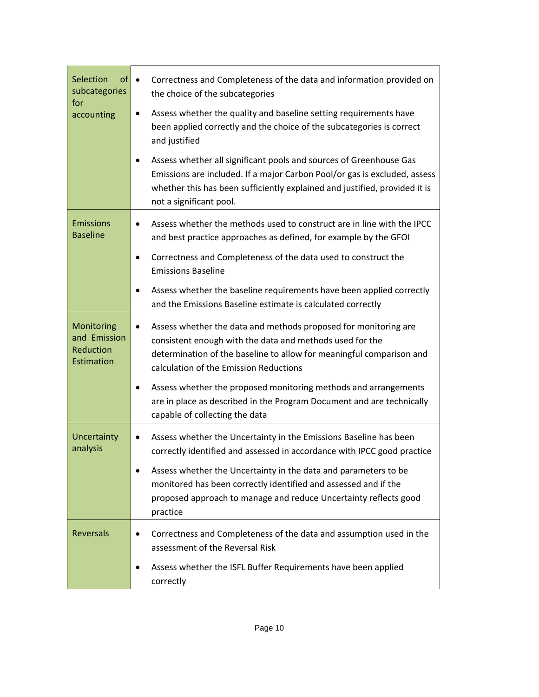| Selection<br>of<br>subcategories<br>for<br>accounting | Correctness and Completeness of the data and information provided on<br>$\bullet$<br>the choice of the subcategories<br>Assess whether the quality and baseline setting requirements have<br>٠<br>been applied correctly and the choice of the subcategories is correct<br>and justified<br>Assess whether all significant pools and sources of Greenhouse Gas<br>٠<br>Emissions are included. If a major Carbon Pool/or gas is excluded, assess<br>whether this has been sufficiently explained and justified, provided it is<br>not a significant pool. |
|-------------------------------------------------------|-----------------------------------------------------------------------------------------------------------------------------------------------------------------------------------------------------------------------------------------------------------------------------------------------------------------------------------------------------------------------------------------------------------------------------------------------------------------------------------------------------------------------------------------------------------|
| <b>Emissions</b><br><b>Baseline</b>                   | Assess whether the methods used to construct are in line with the IPCC<br>$\bullet$<br>and best practice approaches as defined, for example by the GFOI<br>Correctness and Completeness of the data used to construct the<br><b>Emissions Baseline</b><br>Assess whether the baseline requirements have been applied correctly<br>٠<br>and the Emissions Baseline estimate is calculated correctly                                                                                                                                                        |
| Monitoring<br>and Emission<br>Reduction<br>Estimation | Assess whether the data and methods proposed for monitoring are<br>$\bullet$<br>consistent enough with the data and methods used for the<br>determination of the baseline to allow for meaningful comparison and<br>calculation of the Emission Reductions<br>Assess whether the proposed monitoring methods and arrangements<br>٠<br>are in place as described in the Program Document and are technically<br>capable of collecting the data                                                                                                             |
| Uncertainty<br>analysis                               | Assess whether the Uncertainty in the Emissions Baseline has been<br>correctly identified and assessed in accordance with IPCC good practice<br>Assess whether the Uncertainty in the data and parameters to be<br>$\bullet$<br>monitored has been correctly identified and assessed and if the<br>proposed approach to manage and reduce Uncertainty reflects good<br>practice                                                                                                                                                                           |
| <b>Reversals</b>                                      | Correctness and Completeness of the data and assumption used in the<br>٠<br>assessment of the Reversal Risk<br>Assess whether the ISFL Buffer Requirements have been applied<br>correctly                                                                                                                                                                                                                                                                                                                                                                 |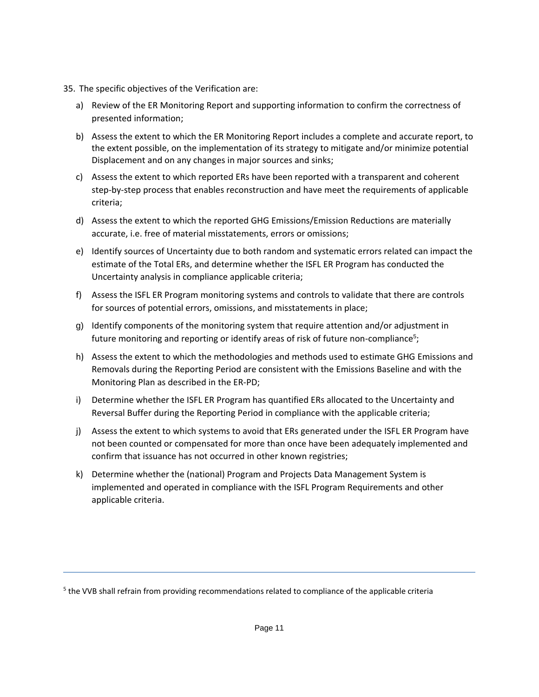- 35. The specific objectives of the Verification are:
	- a) Review of the ER Monitoring Report and supporting information to confirm the correctness of presented information;
	- b) Assess the extent to which the ER Monitoring Report includes a complete and accurate report, to the extent possible, on the implementation of its strategy to mitigate and/or minimize potential Displacement and on any changes in major sources and sinks;
	- c) Assess the extent to which reported ERs have been reported with a transparent and coherent step-by-step process that enables reconstruction and have meet the requirements of applicable criteria;
	- d) Assess the extent to which the reported GHG Emissions/Emission Reductions are materially accurate, i.e. free of material misstatements, errors or omissions;
	- e) Identify sources of Uncertainty due to both random and systematic errors related can impact the estimate of the Total ERs, and determine whether the ISFL ER Program has conducted the Uncertainty analysis in compliance applicable criteria;
	- f) Assess the ISFL ER Program monitoring systems and controls to validate that there are controls for sources of potential errors, omissions, and misstatements in place;
	- g) Identify components of the monitoring system that require attention and/or adjustment in future monitoring and reporting or identify areas of risk of future non-compliance<sup>5</sup>;
	- h) Assess the extent to which the methodologies and methods used to estimate GHG Emissions and Removals during the Reporting Period are consistent with the Emissions Baseline and with the Monitoring Plan as described in the ER-PD;
	- i) Determine whether the ISFL ER Program has quantified ERs allocated to the Uncertainty and Reversal Buffer during the Reporting Period in compliance with the applicable criteria;
	- j) Assess the extent to which systems to avoid that ERs generated under the ISFL ER Program have not been counted or compensated for more than once have been adequately implemented and confirm that issuance has not occurred in other known registries;
	- k) Determine whether the (national) Program and Projects Data Management System is implemented and operated in compliance with the ISFL Program Requirements and other applicable criteria.

<sup>&</sup>lt;sup>5</sup> the VVB shall refrain from providing recommendations related to compliance of the applicable criteria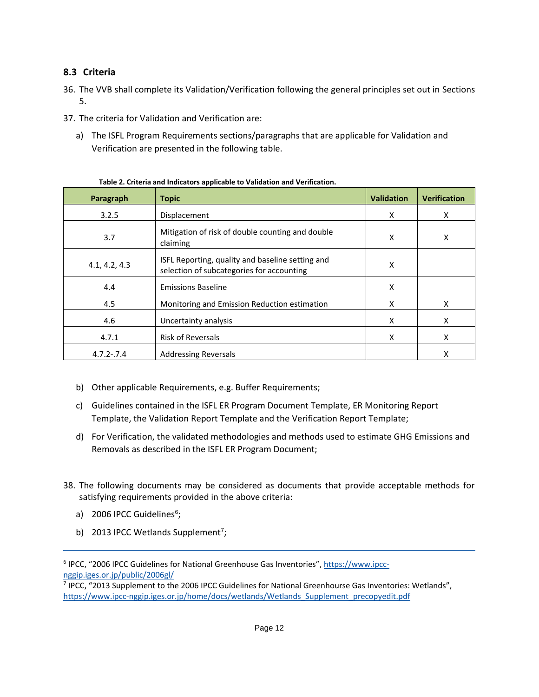### **8.3 Criteria**

- 36. The VVB shall complete its Validation/Verification following the general principles set out in Sections 5.
- 37. The criteria for Validation and Verification are:
	- a) The ISFL Program Requirements sections/paragraphs that are applicable for Validation and Verification are presented in the following table.

| Paragraph                                                                                                      | <b>Topic</b>                                                 | <b>Validation</b> | <b>Verification</b> |
|----------------------------------------------------------------------------------------------------------------|--------------------------------------------------------------|-------------------|---------------------|
| 3.2.5                                                                                                          | Displacement                                                 | X                 | X                   |
| 3.7                                                                                                            | Mitigation of risk of double counting and double<br>claiming | X                 | X                   |
| ISFL Reporting, quality and baseline setting and<br>4.1, 4.2, 4.3<br>selection of subcategories for accounting |                                                              | X                 |                     |
| 4.4                                                                                                            | <b>Emissions Baseline</b>                                    | X                 |                     |
| 4.5                                                                                                            | Monitoring and Emission Reduction estimation                 | X                 | X                   |
| 4.6                                                                                                            | Uncertainty analysis                                         |                   | X                   |
| 4.7.1                                                                                                          | <b>Risk of Reversals</b>                                     |                   | X                   |
| <b>Addressing Reversals</b><br>$4.7.2 - .7.4$                                                                  |                                                              |                   | X                   |

**Table 2. Criteria and Indicators applicable to Validation and Verification.**

- b) Other applicable Requirements, e.g. Buffer Requirements;
- c) Guidelines contained in the ISFL ER Program Document Template, ER Monitoring Report Template, the Validation Report Template and the Verification Report Template;
- d) For Verification, the validated methodologies and methods used to estimate GHG Emissions and Removals as described in the ISFL ER Program Document;
- 38. The following documents may be considered as documents that provide acceptable methods for satisfying requirements provided in the above criteria:
	- a) 2006 IPCC Guidelines<sup>6</sup>;
	- b) 2013 IPCC Wetlands Supplement<sup>7</sup>;

<sup>&</sup>lt;sup>6</sup> IPCC, "2006 IPCC Guidelines for National Greenhouse Gas Inventories", [https://www.ipcc](https://www.ipcc-nggip.iges.or.jp/public/2006gl/)[nggip.iges.or.jp/public/2006gl/](https://www.ipcc-nggip.iges.or.jp/public/2006gl/)

<sup>&</sup>lt;sup>7</sup> IPCC, "2013 Supplement to the 2006 IPCC Guidelines for National Greenhourse Gas Inventories: Wetlands", [https://www.ipcc-nggip.iges.or.jp/home/docs/wetlands/Wetlands\\_Supplement\\_precopyedit.pdf](https://www.ipcc-nggip.iges.or.jp/home/docs/wetlands/Wetlands_Supplement_precopyedit.pdf)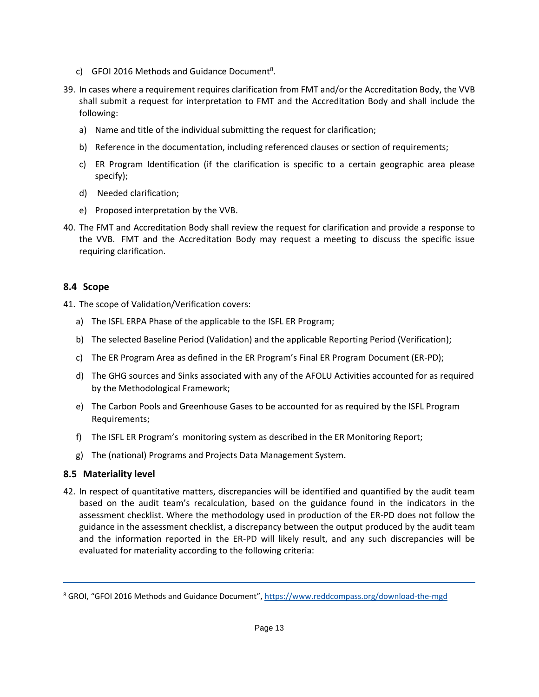- c) GFOI 2016 Methods and Guidance Document<sup>8</sup>.
- 39. In cases where a requirement requires clarification from FMT and/or the Accreditation Body, the VVB shall submit a request for interpretation to FMT and the Accreditation Body and shall include the following:
	- a) Name and title of the individual submitting the request for clarification;
	- b) Reference in the documentation, including referenced clauses or section of requirements;
	- c) ER Program Identification (if the clarification is specific to a certain geographic area please specify);
	- d) Needed clarification;
	- e) Proposed interpretation by the VVB.
- 40. The FMT and Accreditation Body shall review the request for clarification and provide a response to the VVB. FMT and the Accreditation Body may request a meeting to discuss the specific issue requiring clarification.

#### **8.4 Scope**

41. The scope of Validation/Verification covers:

- a) The ISFL ERPA Phase of the applicable to the ISFL ER Program;
- b) The selected Baseline Period (Validation) and the applicable Reporting Period (Verification);
- c) The ER Program Area as defined in the ER Program's Final ER Program Document (ER-PD);
- d) The GHG sources and Sinks associated with any of the AFOLU Activities accounted for as required by the Methodological Framework;
- e) The Carbon Pools and Greenhouse Gases to be accounted for as required by the ISFL Program Requirements;
- f) The ISFL ER Program's monitoring system as described in the ER Monitoring Report;
- g) The (national) Programs and Projects Data Management System.

#### **8.5 Materiality level**

42. In respect of quantitative matters, discrepancies will be identified and quantified by the audit team based on the audit team's recalculation, based on the guidance found in the indicators in the assessment checklist. Where the methodology used in production of the ER-PD does not follow the guidance in the assessment checklist, a discrepancy between the output produced by the audit team and the information reported in the ER-PD will likely result, and any such discrepancies will be evaluated for materiality according to the following criteria:

<sup>&</sup>lt;sup>8</sup> GROI, "GFOI 2016 Methods and Guidance Document", <https://www.reddcompass.org/download-the-mgd>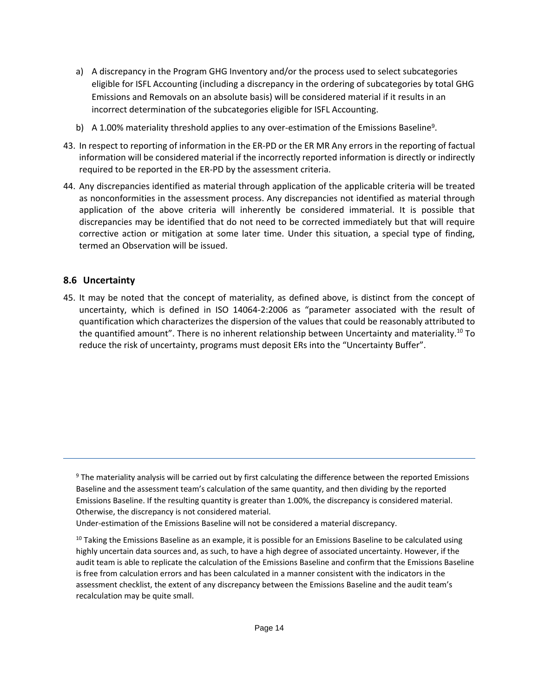- a) A discrepancy in the Program GHG Inventory and/or the process used to select subcategories eligible for ISFL Accounting (including a discrepancy in the ordering of subcategories by total GHG Emissions and Removals on an absolute basis) will be considered material if it results in an incorrect determination of the subcategories eligible for ISFL Accounting.
- b) A 1.00% materiality threshold applies to any over-estimation of the Emissions Baseline<sup>9</sup>.
- 43. In respect to reporting of information in the ER-PD or the ER MR Any errors in the reporting of factual information will be considered material if the incorrectly reported information is directly or indirectly required to be reported in the ER-PD by the assessment criteria.
- 44. Any discrepancies identified as material through application of the applicable criteria will be treated as nonconformities in the assessment process. Any discrepancies not identified as material through application of the above criteria will inherently be considered immaterial. It is possible that discrepancies may be identified that do not need to be corrected immediately but that will require corrective action or mitigation at some later time. Under this situation, a special type of finding, termed an Observation will be issued.

### **8.6 Uncertainty**

45. It may be noted that the concept of materiality, as defined above, is distinct from the concept of uncertainty, which is defined in ISO 14064-2:2006 as "parameter associated with the result of quantification which characterizes the dispersion of the values that could be reasonably attributed to the quantified amount". There is no inherent relationship between Uncertainty and materiality.<sup>10</sup> To reduce the risk of uncertainty, programs must deposit ERs into the "Uncertainty Buffer".

<sup>9</sup> The materiality analysis will be carried out by first calculating the difference between the reported Emissions Baseline and the assessment team's calculation of the same quantity, and then dividing by the reported Emissions Baseline. If the resulting quantity is greater than 1.00%, the discrepancy is considered material. Otherwise, the discrepancy is not considered material.

Under-estimation of the Emissions Baseline will not be considered a material discrepancy.

 $10$  Taking the Emissions Baseline as an example, it is possible for an Emissions Baseline to be calculated using highly uncertain data sources and, as such, to have a high degree of associated uncertainty. However, if the audit team is able to replicate the calculation of the Emissions Baseline and confirm that the Emissions Baseline is free from calculation errors and has been calculated in a manner consistent with the indicators in the assessment checklist, the extent of any discrepancy between the Emissions Baseline and the audit team's recalculation may be quite small.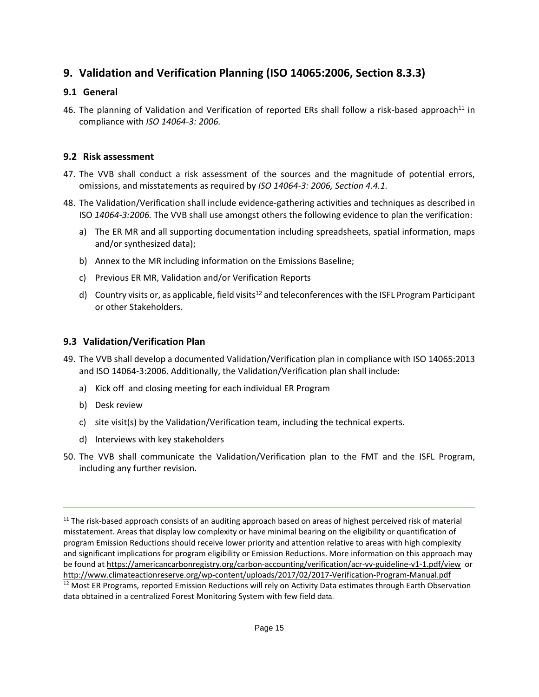# <span id="page-16-0"></span>**9. Validation and Verification Planning (ISO 14065:2006, Section 8.3.3)**

### **9.1 General**

46. The planning of Validation and Verification of reported ERs shall follow a risk-based approach<sup>11</sup> in compliance with *ISO 14064-3: 2006.* 

#### **9.2 Risk assessment**

- 47. The VVB shall conduct a risk assessment of the sources and the magnitude of potential errors, omissions, and misstatements as required by *ISO 14064-3: 2006, Section 4.4.1.*
- 48. The Validation/Verification shall include evidence-gathering activities and techniques as described in ISO *14064-3:2006.* The VVB shall use amongst others the following evidence to plan the verification:
	- a) The ER MR and all supporting documentation including spreadsheets, spatial information, maps and/or synthesized data);
	- b) Annex to the MR including information on the Emissions Baseline;
	- c) Previous ER MR, Validation and/or Verification Reports
	- d) Country visits or, as applicable, field visits<sup>12</sup> and teleconferences with the ISFL Program Participant or other Stakeholders.

#### **9.3 Validation/Verification Plan**

- 49. The VVB shall develop a documented Validation/Verification plan in compliance with ISO 14065:2013 and ISO 14064-3:2006. Additionally, the Validation/Verification plan shall include:
	- a) Kick off and closing meeting for each individual ER Program
	- b) Desk review
	- c) site visit(s) by the Validation/Verification team, including the technical experts.
	- d) Interviews with key stakeholders
- 50. The VVB shall communicate the Validation/Verification plan to the FMT and the ISFL Program, including any further revision.

 $11$  The risk-based approach consists of an auditing approach based on areas of highest perceived risk of material misstatement. Areas that display low complexity or have minimal bearing on the eligibility or quantification of program Emission Reductions should receive lower priority and attention relative to areas with high complexity and significant implications for program eligibility or Emission Reductions. More information on this approach may be found at <https://americancarbonregistry.org/carbon-accounting/verification/acr-vv-guideline-v1-1.pdf/view>or <http://www.climateactionreserve.org/wp-content/uploads/2017/02/2017-Verification-Program-Manual.pdf> <sup>12</sup> Most ER Programs, reported Emission Reductions will rely on Activity Data estimates through Earth Observation

data obtained in a centralized Forest Monitoring System with few field data.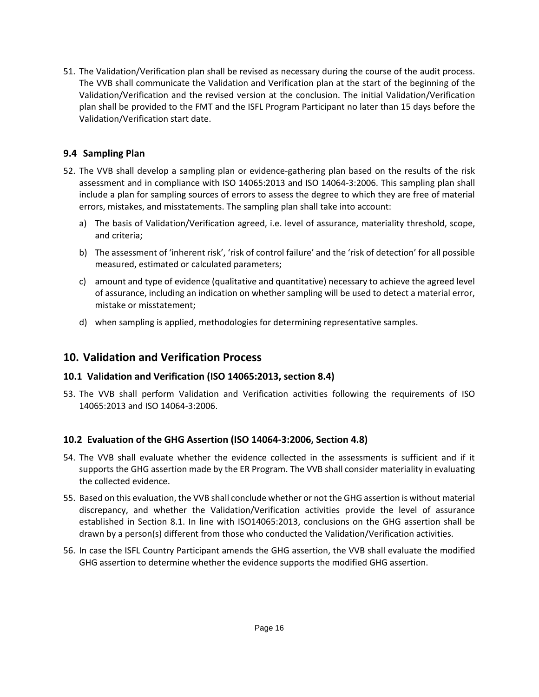51. The Validation/Verification plan shall be revised as necessary during the course of the audit process. The VVB shall communicate the Validation and Verification plan at the start of the beginning of the Validation/Verification and the revised version at the conclusion. The initial Validation/Verification plan shall be provided to the FMT and the ISFL Program Participant no later than 15 days before the Validation/Verification start date.

#### **9.4 Sampling Plan**

- 52. The VVB shall develop a sampling plan or evidence-gathering plan based on the results of the risk assessment and in compliance with ISO 14065:2013 and ISO 14064-3:2006. This sampling plan shall include a plan for sampling sources of errors to assess the degree to which they are free of material errors, mistakes, and misstatements. The sampling plan shall take into account:
	- a) The basis of Validation/Verification agreed, i.e. level of assurance, materiality threshold, scope, and criteria;
	- b) The assessment of 'inherent risk', 'risk of control failure' and the 'risk of detection' for all possible measured, estimated or calculated parameters;
	- c) amount and type of evidence (qualitative and quantitative) necessary to achieve the agreed level of assurance, including an indication on whether sampling will be used to detect a material error, mistake or misstatement;
	- d) when sampling is applied, methodologies for determining representative samples.

# <span id="page-17-0"></span>**10. Validation and Verification Process**

#### **10.1 Validation and Verification (ISO 14065:2013, section 8.4)**

53. The VVB shall perform Validation and Verification activities following the requirements of ISO 14065:2013 and ISO 14064-3:2006.

### **10.2 Evaluation of the GHG Assertion (ISO 14064-3:2006, Section 4.8)**

- 54. The VVB shall evaluate whether the evidence collected in the assessments is sufficient and if it supports the GHG assertion made by the ER Program. The VVB shall consider materiality in evaluating the collected evidence.
- 55. Based on this evaluation, the VVB shall conclude whether or not the GHG assertion is without material discrepancy, and whether the Validation/Verification activities provide the level of assurance established in Section 8.1. In line with ISO14065:2013, conclusions on the GHG assertion shall be drawn by a person(s) different from those who conducted the Validation/Verification activities.
- 56. In case the ISFL Country Participant amends the GHG assertion, the VVB shall evaluate the modified GHG assertion to determine whether the evidence supports the modified GHG assertion.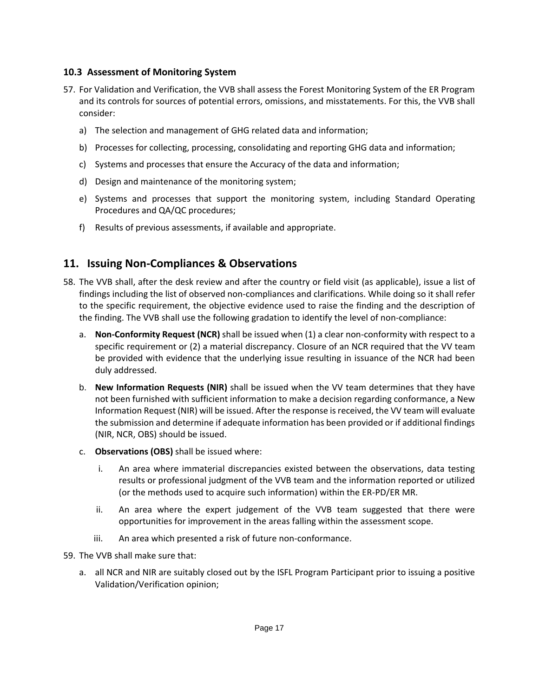#### **10.3 Assessment of Monitoring System**

- 57. For Validation and Verification, the VVB shall assess the Forest Monitoring System of the ER Program and its controls for sources of potential errors, omissions, and misstatements. For this, the VVB shall consider:
	- a) The selection and management of GHG related data and information;
	- b) Processes for collecting, processing, consolidating and reporting GHG data and information;
	- c) Systems and processes that ensure the Accuracy of the data and information;
	- d) Design and maintenance of the monitoring system;
	- e) Systems and processes that support the monitoring system, including Standard Operating Procedures and QA/QC procedures;
	- f) Results of previous assessments, if available and appropriate.

# <span id="page-18-0"></span>**11. Issuing Non-Compliances & Observations**

- 58. The VVB shall, after the desk review and after the country or field visit (as applicable), issue a list of findings including the list of observed non-compliances and clarifications. While doing so it shall refer to the specific requirement, the objective evidence used to raise the finding and the description of the finding. The VVB shall use the following gradation to identify the level of non-compliance:
	- a. **Non-Conformity Request (NCR)** shall be issued when (1) a clear non-conformity with respect to a specific requirement or (2) a material discrepancy. Closure of an NCR required that the VV team be provided with evidence that the underlying issue resulting in issuance of the NCR had been duly addressed.
	- b. **New Information Requests (NIR)** shall be issued when the VV team determines that they have not been furnished with sufficient information to make a decision regarding conformance, a New Information Request (NIR) will be issued. After the response is received, the VV team will evaluate the submission and determine if adequate information has been provided or if additional findings (NIR, NCR, OBS) should be issued.
	- c. **Observations (OBS)** shall be issued where:
		- i. An area where immaterial discrepancies existed between the observations, data testing results or professional judgment of the VVB team and the information reported or utilized (or the methods used to acquire such information) within the ER-PD/ER MR.
		- ii. An area where the expert judgement of the VVB team suggested that there were opportunities for improvement in the areas falling within the assessment scope.
		- iii. An area which presented a risk of future non-conformance.
- 59. The VVB shall make sure that:
	- a. all NCR and NIR are suitably closed out by the ISFL Program Participant prior to issuing a positive Validation/Verification opinion;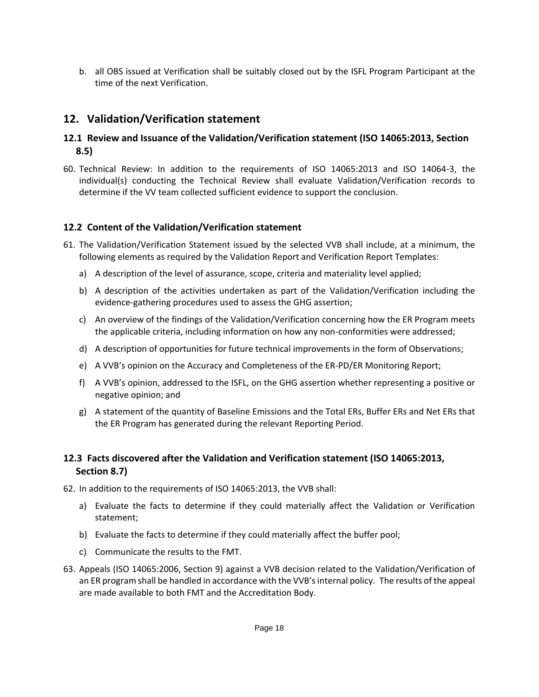b. all OBS issued at Verification shall be suitably closed out by the ISFL Program Participant at the time of the next Verification.

# <span id="page-19-0"></span>**12. Validation/Verification statement**

### **12.1 Review and Issuance of the Validation/Verification statement (ISO 14065:2013, Section 8.5)**

60. Technical Review: In addition to the requirements of ISO 14065:2013 and ISO 14064-3, the individual(s) conducting the Technical Review shall evaluate Validation/Verification records to determine if the VV team collected sufficient evidence to support the conclusion.

### **12.2 Content of the Validation/Verification statement**

- 61. The Validation/Verification Statement issued by the selected VVB shall include, at a minimum, the following elements as required by the Validation Report and Verification Report Templates:
	- a) A description of the level of assurance, scope, criteria and materiality level applied;
	- b) A description of the activities undertaken as part of the Validation/Verification including the evidence-gathering procedures used to assess the GHG assertion;
	- c) An overview of the findings of the Validation/Verification concerning how the ER Program meets the applicable criteria, including information on how any non-conformities were addressed;
	- d) A description of opportunities for future technical improvements in the form of Observations;
	- e) A VVB's opinion on the Accuracy and Completeness of the ER-PD/ER Monitoring Report;
	- f) A VVB's opinion, addressed to the ISFL, on the GHG assertion whether representing a positive or negative opinion; and
	- g) A statement of the quantity of Baseline Emissions and the Total ERs, Buffer ERs and Net ERs that the ER Program has generated during the relevant Reporting Period.

### **12.3 Facts discovered after the Validation and Verification statement (ISO 14065:2013, Section 8.7)**

62. In addition to the requirements of ISO 14065:2013, the VVB shall:

- a) Evaluate the facts to determine if they could materially affect the Validation or Verification statement;
- b) Evaluate the facts to determine if they could materially affect the buffer pool;
- c) Communicate the results to the FMT.
- 63. Appeals (ISO 14065:2006, Section 9) against a VVB decision related to the Validation/Verification of an ER program shall be handled in accordance with the VVB's internal policy. The results of the appeal are made available to both FMT and the Accreditation Body.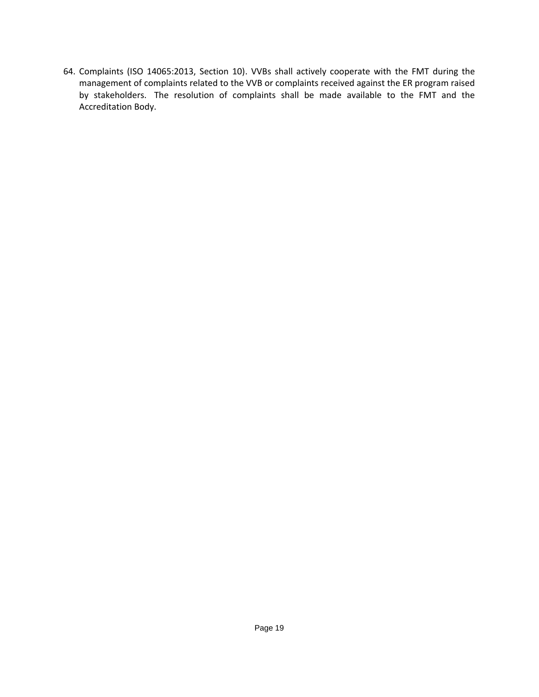64. Complaints (ISO 14065:2013, Section 10). VVBs shall actively cooperate with the FMT during the management of complaints related to the VVB or complaints received against the ER program raised by stakeholders. The resolution of complaints shall be made available to the FMT and the Accreditation Body.